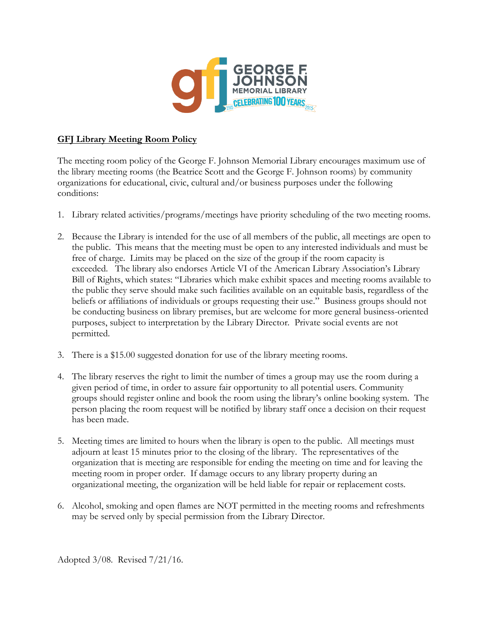

## **GFJ Library Meeting Room Policy**

The meeting room policy of the George F. Johnson Memorial Library encourages maximum use of the library meeting rooms (the Beatrice Scott and the George F. Johnson rooms) by community organizations for educational, civic, cultural and/or business purposes under the following conditions:

- 1. Library related activities/programs/meetings have priority scheduling of the two meeting rooms.
- 2. Because the Library is intended for the use of all members of the public, all meetings are open to the public. This means that the meeting must be open to any interested individuals and must be free of charge. Limits may be placed on the size of the group if the room capacity is exceeded. The library also endorses Article VI of the American Library Association's Library Bill of Rights, which states: "Libraries which make exhibit spaces and meeting rooms available to the public they serve should make such facilities available on an equitable basis, regardless of the beliefs or affiliations of individuals or groups requesting their use." Business groups should not be conducting business on library premises, but are welcome for more general business-oriented purposes, subject to interpretation by the Library Director*.* Private social events are not permitted.
- 3. There is a \$15.00 suggested donation for use of the library meeting rooms.
- 4. The library reserves the right to limit the number of times a group may use the room during a given period of time, in order to assure fair opportunity to all potential users. Community groups should register online and book the room using the library's online booking system. The person placing the room request will be notified by library staff once a decision on their request has been made.
- 5. Meeting times are limited to hours when the library is open to the public. All meetings must adjourn at least 15 minutes prior to the closing of the library. The representatives of the organization that is meeting are responsible for ending the meeting on time and for leaving the meeting room in proper order. If damage occurs to any library property during an organizational meeting, the organization will be held liable for repair or replacement costs.
- 6. Alcohol, smoking and open flames are NOT permitted in the meeting rooms and refreshments may be served only by special permission from the Library Director.

Adopted 3/08. Revised 7/21/16.